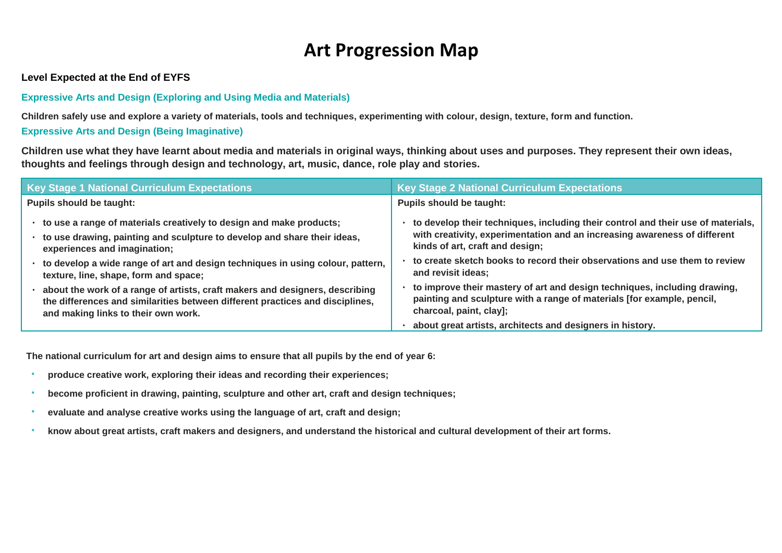## **Art Progression Map**

## **Level Expected at the End of EYFS**

## **Expressive Arts and Design (Exploring and Using Media and Materials)**

**Children safely use and explore a variety of materials, tools and techniques, experimenting with colour, design, texture, form and function.**

## **Expressive Arts and Design (Being Imaginative)**

**Children use what they have learnt about media and materials in original ways, thinking about uses and purposes. They represent their own ideas, thoughts and feelings through design and technology, art, music, dance, role play and stories.**

| <b>Key Stage 1 National Curriculum Expectations</b>                                                                                                                                                                                                                                                                                                                                                                                                                                                                      | <b>Key Stage 2 National Curriculum Expectations</b>                                                                                                                                                                                                                                                                                                                                                                                                                                    |  |
|--------------------------------------------------------------------------------------------------------------------------------------------------------------------------------------------------------------------------------------------------------------------------------------------------------------------------------------------------------------------------------------------------------------------------------------------------------------------------------------------------------------------------|----------------------------------------------------------------------------------------------------------------------------------------------------------------------------------------------------------------------------------------------------------------------------------------------------------------------------------------------------------------------------------------------------------------------------------------------------------------------------------------|--|
| <b>Pupils should be taught:</b>                                                                                                                                                                                                                                                                                                                                                                                                                                                                                          | <b>Pupils should be taught:</b>                                                                                                                                                                                                                                                                                                                                                                                                                                                        |  |
| • to use a range of materials creatively to design and make products;<br>• to use drawing, painting and sculpture to develop and share their ideas,<br>experiences and imagination;<br>• to develop a wide range of art and design techniques in using colour, pattern,<br>texture, line, shape, form and space;<br>about the work of a range of artists, craft makers and designers, describing<br>the differences and similarities between different practices and disciplines,<br>and making links to their own work. | to develop their techniques, including their control and their use of materials,<br>with creativity, experimentation and an increasing awareness of different<br>kinds of art, craft and design;<br>to create sketch books to record their observations and use them to review<br>and revisit ideas;<br>to improve their mastery of art and design techniques, including drawing,<br>painting and sculpture with a range of materials [for example, pencil,<br>charcoal, paint, clay]; |  |
|                                                                                                                                                                                                                                                                                                                                                                                                                                                                                                                          | about great artists, architects and designers in history.                                                                                                                                                                                                                                                                                                                                                                                                                              |  |

**The national curriculum for art and design aims to ensure that all pupils by the end of year 6:**

- **produce creative work, exploring their ideas and recording their experiences;**
- **become proficient in drawing, painting, sculpture and other art, craft and design techniques;**
- **evaluate and analyse creative works using the language of art, craft and design;**
- **know about great artists, craft makers and designers, and understand the historical and cultural development of their art forms.**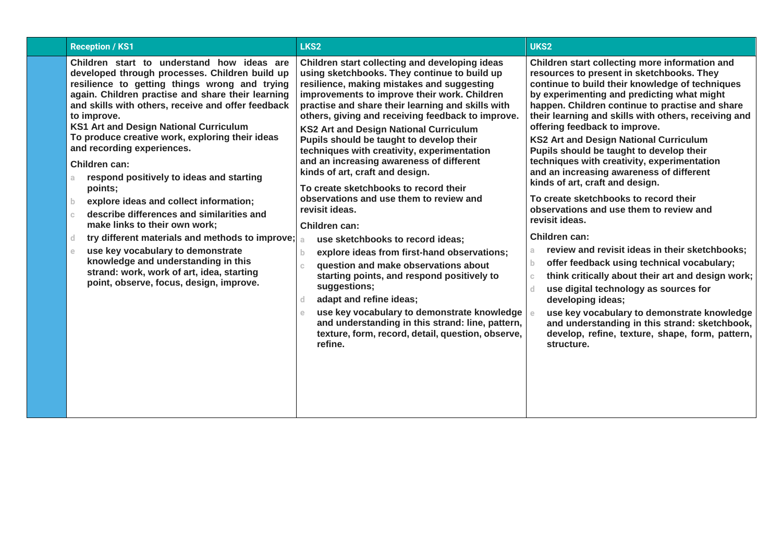| <b>Reception / KS1</b>                                                                                                                                                                                                                                                                                                                                                                                                                                                                                                                                                                                                                                                                                                                                                                                                                                                            | LKS <sub>2</sub>                                                                                                                                                                                                                                                                                                                                                                                                                                                                                                                                                                                                                                                                                                                                                                                                                                                                                                                                                                                                                                                                 | UKS2                                                                                                                                                                                                                                                                                                                                                                                                                                                                                                                                                                                                                                                                                                                                                                                                                                                                                                                                                                                                                                                                                                                                 |
|-----------------------------------------------------------------------------------------------------------------------------------------------------------------------------------------------------------------------------------------------------------------------------------------------------------------------------------------------------------------------------------------------------------------------------------------------------------------------------------------------------------------------------------------------------------------------------------------------------------------------------------------------------------------------------------------------------------------------------------------------------------------------------------------------------------------------------------------------------------------------------------|----------------------------------------------------------------------------------------------------------------------------------------------------------------------------------------------------------------------------------------------------------------------------------------------------------------------------------------------------------------------------------------------------------------------------------------------------------------------------------------------------------------------------------------------------------------------------------------------------------------------------------------------------------------------------------------------------------------------------------------------------------------------------------------------------------------------------------------------------------------------------------------------------------------------------------------------------------------------------------------------------------------------------------------------------------------------------------|--------------------------------------------------------------------------------------------------------------------------------------------------------------------------------------------------------------------------------------------------------------------------------------------------------------------------------------------------------------------------------------------------------------------------------------------------------------------------------------------------------------------------------------------------------------------------------------------------------------------------------------------------------------------------------------------------------------------------------------------------------------------------------------------------------------------------------------------------------------------------------------------------------------------------------------------------------------------------------------------------------------------------------------------------------------------------------------------------------------------------------------|
| Children start to understand how ideas are<br>developed through processes. Children build up<br>resilience to getting things wrong and trying<br>again. Children practise and share their learning<br>and skills with others, receive and offer feedback<br>to improve.<br>KS1 Art and Design National Curriculum<br>To produce creative work, exploring their ideas<br>and recording experiences.<br>Children can:<br>respond positively to ideas and starting<br>a<br>points;<br>explore ideas and collect information;<br>$\mathbf b$<br>describe differences and similarities and<br>$\mathbb{C}$<br>make links to their own work;<br>try different materials and methods to improve;<br>d<br>use key vocabulary to demonstrate<br>$\mathbf e$<br>knowledge and understanding in this<br>strand: work, work of art, idea, starting<br>point, observe, focus, design, improve. | Children start collecting and developing ideas<br>using sketchbooks. They continue to build up<br>resilience, making mistakes and suggesting<br>improvements to improve their work. Children<br>practise and share their learning and skills with<br>others, giving and receiving feedback to improve.<br><b>KS2 Art and Design National Curriculum</b><br>Pupils should be taught to develop their<br>techniques with creativity, experimentation<br>and an increasing awareness of different<br>kinds of art, craft and design.<br>To create sketchbooks to record their<br>observations and use them to review and<br>revisit ideas.<br>Children can:<br>use sketchbooks to record ideas;<br>a<br>explore ideas from first-hand observations;<br>b.<br>question and make observations about<br>C.<br>starting points, and respond positively to<br>suggestions;<br>adapt and refine ideas;<br>d.<br>use key vocabulary to demonstrate knowledge   e<br>e.<br>and understanding in this strand: line, pattern,<br>texture, form, record, detail, question, observe,<br>refine. | Children start collecting more information and<br>resources to present in sketchbooks. They<br>continue to build their knowledge of techniques<br>by experimenting and predicting what might<br>happen. Children continue to practise and share<br>their learning and skills with others, receiving and<br>offering feedback to improve.<br><b>KS2 Art and Design National Curriculum</b><br>Pupils should be taught to develop their<br>techniques with creativity, experimentation<br>and an increasing awareness of different<br>kinds of art, craft and design.<br>To create sketchbooks to record their<br>observations and use them to review and<br>revisit ideas.<br>Children can:<br>review and revisit ideas in their sketchbooks;<br>a.<br>offer feedback using technical vocabulary;<br>$\mathbf{b}$<br>think critically about their art and design work;<br>$\mathbb{C}$<br>use digital technology as sources for<br>$\mathsf{d}$<br>developing ideas;<br>use key vocabulary to demonstrate knowledge<br>and understanding in this strand: sketchbook,<br>develop, refine, texture, shape, form, pattern,<br>structure. |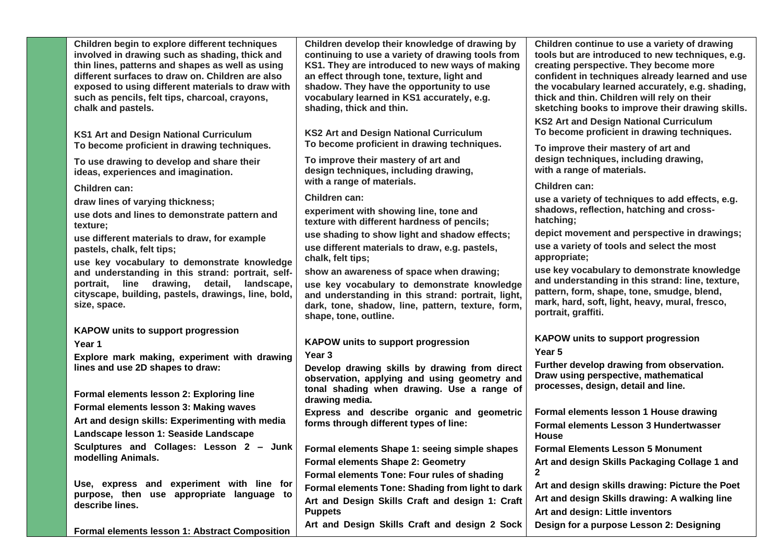| Children begin to explore different techniques<br>involved in drawing such as shading, thick and<br>thin lines, patterns and shapes as well as using<br>different surfaces to draw on. Children are also<br>exposed to using different materials to draw with<br>such as pencils, felt tips, charcoal, crayons,<br>chalk and pastels. | Children develop their knowledge of drawing by<br>continuing to use a variety of drawing tools from<br>KS1. They are introduced to new ways of making<br>an effect through tone, texture, light and<br>shadow. They have the opportunity to use<br>vocabulary learned in KS1 accurately, e.g.<br>shading, thick and thin. | Children continue to use a variety of drawing<br>tools but are introduced to new techniques, e.g.<br>creating perspective. They become more<br>confident in techniques already learned and use<br>the vocabulary learned accurately, e.g. shading,<br>thick and thin. Children will rely on their<br>sketching books to improve their drawing skills.<br><b>KS2 Art and Design National Curriculum</b> |
|---------------------------------------------------------------------------------------------------------------------------------------------------------------------------------------------------------------------------------------------------------------------------------------------------------------------------------------|---------------------------------------------------------------------------------------------------------------------------------------------------------------------------------------------------------------------------------------------------------------------------------------------------------------------------|--------------------------------------------------------------------------------------------------------------------------------------------------------------------------------------------------------------------------------------------------------------------------------------------------------------------------------------------------------------------------------------------------------|
| KS1 Art and Design National Curriculum<br>To become proficient in drawing techniques.                                                                                                                                                                                                                                                 | <b>KS2 Art and Design National Curriculum</b><br>To become proficient in drawing techniques.                                                                                                                                                                                                                              | To become proficient in drawing techniques.<br>To improve their mastery of art and                                                                                                                                                                                                                                                                                                                     |
| To use drawing to develop and share their<br>ideas, experiences and imagination.                                                                                                                                                                                                                                                      | To improve their mastery of art and<br>design techniques, including drawing,                                                                                                                                                                                                                                              | design techniques, including drawing,<br>with a range of materials.                                                                                                                                                                                                                                                                                                                                    |
| Children can:                                                                                                                                                                                                                                                                                                                         | with a range of materials.                                                                                                                                                                                                                                                                                                | Children can:                                                                                                                                                                                                                                                                                                                                                                                          |
| draw lines of varying thickness;                                                                                                                                                                                                                                                                                                      | Children can:                                                                                                                                                                                                                                                                                                             | use a variety of techniques to add effects, e.g.                                                                                                                                                                                                                                                                                                                                                       |
| use dots and lines to demonstrate pattern and<br>texture;                                                                                                                                                                                                                                                                             | experiment with showing line, tone and<br>texture with different hardness of pencils;                                                                                                                                                                                                                                     | shadows, reflection, hatching and cross-<br>hatching;                                                                                                                                                                                                                                                                                                                                                  |
| use different materials to draw, for example                                                                                                                                                                                                                                                                                          | use shading to show light and shadow effects;                                                                                                                                                                                                                                                                             | depict movement and perspective in drawings;                                                                                                                                                                                                                                                                                                                                                           |
| pastels, chalk, felt tips;<br>use key vocabulary to demonstrate knowledge                                                                                                                                                                                                                                                             | use different materials to draw, e.g. pastels,<br>chalk, felt tips;                                                                                                                                                                                                                                                       | use a variety of tools and select the most<br>appropriate;                                                                                                                                                                                                                                                                                                                                             |
| and understanding in this strand: portrait, self-<br>line drawing,<br>detail,<br>landscape,<br>portrait,<br>cityscape, building, pastels, drawings, line, bold,<br>size, space.                                                                                                                                                       | show an awareness of space when drawing;<br>use key vocabulary to demonstrate knowledge<br>and understanding in this strand: portrait, light,<br>dark, tone, shadow, line, pattern, texture, form,<br>shape, tone, outline.                                                                                               | use key vocabulary to demonstrate knowledge<br>and understanding in this strand: line, texture,<br>pattern, form, shape, tone, smudge, blend,<br>mark, hard, soft, light, heavy, mural, fresco,<br>portrait, graffiti.                                                                                                                                                                                 |
| <b>KAPOW units to support progression</b>                                                                                                                                                                                                                                                                                             |                                                                                                                                                                                                                                                                                                                           |                                                                                                                                                                                                                                                                                                                                                                                                        |
| Year 1                                                                                                                                                                                                                                                                                                                                | <b>KAPOW units to support progression</b>                                                                                                                                                                                                                                                                                 | <b>KAPOW units to support progression</b><br>Year 5                                                                                                                                                                                                                                                                                                                                                    |
| Explore mark making, experiment with drawing                                                                                                                                                                                                                                                                                          | Year 3                                                                                                                                                                                                                                                                                                                    | Further develop drawing from observation.                                                                                                                                                                                                                                                                                                                                                              |
| lines and use 2D shapes to draw:<br>Formal elements lesson 2: Exploring line                                                                                                                                                                                                                                                          | Develop drawing skills by drawing from direct<br>observation, applying and using geometry and<br>tonal shading when drawing. Use a range of                                                                                                                                                                               | Draw using perspective, mathematical<br>processes, design, detail and line.                                                                                                                                                                                                                                                                                                                            |
| Formal elements lesson 3: Making waves                                                                                                                                                                                                                                                                                                | drawing media.                                                                                                                                                                                                                                                                                                            |                                                                                                                                                                                                                                                                                                                                                                                                        |
| Art and design skills: Experimenting with media                                                                                                                                                                                                                                                                                       | Express and describe organic and geometric<br>forms through different types of line:                                                                                                                                                                                                                                      | Formal elements lesson 1 House drawing                                                                                                                                                                                                                                                                                                                                                                 |
| Landscape lesson 1: Seaside Landscape                                                                                                                                                                                                                                                                                                 |                                                                                                                                                                                                                                                                                                                           | Formal elements Lesson 3 Hundertwasser<br><b>House</b>                                                                                                                                                                                                                                                                                                                                                 |
| Sculptures and Collages: Lesson 2 - Junk                                                                                                                                                                                                                                                                                              | Formal elements Shape 1: seeing simple shapes                                                                                                                                                                                                                                                                             | <b>Formal Elements Lesson 5 Monument</b>                                                                                                                                                                                                                                                                                                                                                               |
| modelling Animals.                                                                                                                                                                                                                                                                                                                    | <b>Formal elements Shape 2: Geometry</b>                                                                                                                                                                                                                                                                                  | Art and design Skills Packaging Collage 1 and                                                                                                                                                                                                                                                                                                                                                          |
|                                                                                                                                                                                                                                                                                                                                       | Formal elements Tone: Four rules of shading                                                                                                                                                                                                                                                                               |                                                                                                                                                                                                                                                                                                                                                                                                        |
| Use, express and experiment with line for<br>purpose, then use appropriate language to                                                                                                                                                                                                                                                | Formal elements Tone: Shading from light to dark                                                                                                                                                                                                                                                                          | Art and design skills drawing: Picture the Poet                                                                                                                                                                                                                                                                                                                                                        |
| describe lines.                                                                                                                                                                                                                                                                                                                       | Art and Design Skills Craft and design 1: Craft<br><b>Puppets</b>                                                                                                                                                                                                                                                         | Art and design Skills drawing: A walking line<br>Art and design: Little inventors                                                                                                                                                                                                                                                                                                                      |
| Formal elements lesson 1: Abstract Composition                                                                                                                                                                                                                                                                                        | Art and Design Skills Craft and design 2 Sock                                                                                                                                                                                                                                                                             | Design for a purpose Lesson 2: Designing                                                                                                                                                                                                                                                                                                                                                               |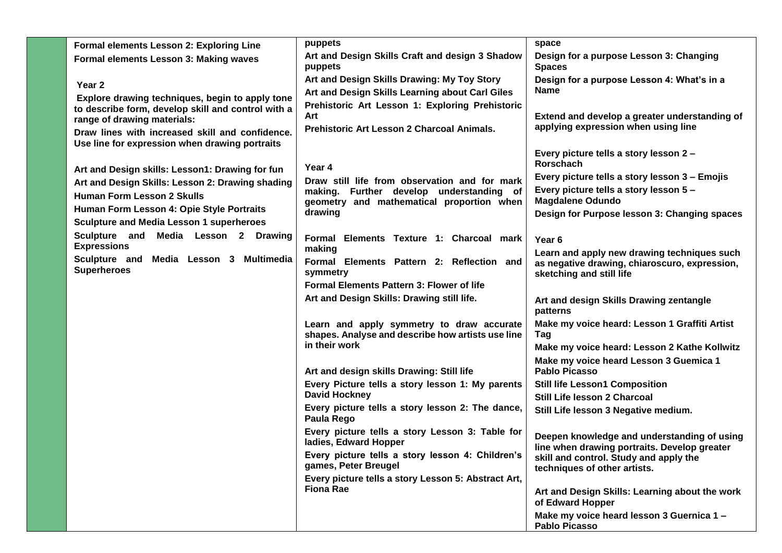| Formal elements Lesson 2: Exploring Line                                                                                                                                               | puppets                                                                                                                                           | space                                                                                                                                                              |
|----------------------------------------------------------------------------------------------------------------------------------------------------------------------------------------|---------------------------------------------------------------------------------------------------------------------------------------------------|--------------------------------------------------------------------------------------------------------------------------------------------------------------------|
| Formal elements Lesson 3: Making waves                                                                                                                                                 | Art and Design Skills Craft and design 3 Shadow<br>puppets                                                                                        | Design for a purpose Lesson 3: Changing<br><b>Spaces</b>                                                                                                           |
| Year 2<br>Explore drawing techniques, begin to apply tone                                                                                                                              | Art and Design Skills Drawing: My Toy Story<br>Art and Design Skills Learning about Carl Giles                                                    | Design for a purpose Lesson 4: What's in a<br><b>Name</b>                                                                                                          |
| to describe form, develop skill and control with a<br>range of drawing materials:<br>Draw lines with increased skill and confidence.<br>Use line for expression when drawing portraits | Prehistoric Art Lesson 1: Exploring Prehistoric<br>Art<br>Prehistoric Art Lesson 2 Charcoal Animals.                                              | Extend and develop a greater understanding of<br>applying expression when using line                                                                               |
| Art and Design skills: Lesson1: Drawing for fun                                                                                                                                        | Year 4                                                                                                                                            | Every picture tells a story lesson 2 -<br>Rorschach                                                                                                                |
| Art and Design Skills: Lesson 2: Drawing shading<br><b>Human Form Lesson 2 Skulls</b><br>Human Form Lesson 4: Opie Style Portraits                                                     | Draw still life from observation and for mark<br>making. Further develop understanding of<br>geometry and mathematical proportion when<br>drawing | Every picture tells a story lesson 3 - Emojis<br>Every picture tells a story lesson 5 -<br><b>Magdalene Odundo</b><br>Design for Purpose lesson 3: Changing spaces |
| <b>Sculpture and Media Lesson 1 superheroes</b><br>Sculpture and Media Lesson 2 Drawing                                                                                                |                                                                                                                                                   |                                                                                                                                                                    |
| <b>Expressions</b>                                                                                                                                                                     | Formal Elements Texture 1: Charcoal mark<br>making                                                                                                | Year <sub>6</sub>                                                                                                                                                  |
| Sculpture and Media Lesson 3 Multimedia<br><b>Superheroes</b>                                                                                                                          | Formal Elements Pattern 2: Reflection and<br>symmetry<br><b>Formal Elements Pattern 3: Flower of life</b>                                         | Learn and apply new drawing techniques such<br>as negative drawing, chiaroscuro, expression,<br>sketching and still life                                           |
|                                                                                                                                                                                        | Art and Design Skills: Drawing still life.                                                                                                        | Art and design Skills Drawing zentangle<br>patterns                                                                                                                |
|                                                                                                                                                                                        | Learn and apply symmetry to draw accurate<br>shapes. Analyse and describe how artists use line                                                    | Make my voice heard: Lesson 1 Graffiti Artist<br>Tag                                                                                                               |
|                                                                                                                                                                                        | in their work                                                                                                                                     | Make my voice heard: Lesson 2 Kathe Kollwitz                                                                                                                       |
|                                                                                                                                                                                        | Art and design skills Drawing: Still life                                                                                                         | Make my voice heard Lesson 3 Guemica 1<br><b>Pablo Picasso</b>                                                                                                     |
|                                                                                                                                                                                        | Every Picture tells a story lesson 1: My parents                                                                                                  | <b>Still life Lesson1 Composition</b>                                                                                                                              |
|                                                                                                                                                                                        | <b>David Hockney</b><br>Every picture tells a story lesson 2: The dance,                                                                          | Still Life lesson 2 Charcoal                                                                                                                                       |
|                                                                                                                                                                                        | Paula Rego                                                                                                                                        | Still Life lesson 3 Negative medium.                                                                                                                               |
|                                                                                                                                                                                        | Every picture tells a story Lesson 3: Table for<br>ladies, Edward Hopper                                                                          | Deepen knowledge and understanding of using<br>line when drawing portraits. Develop greater                                                                        |
|                                                                                                                                                                                        | Every picture tells a story lesson 4: Children's<br>games, Peter Breugel                                                                          | skill and control. Study and apply the<br>techniques of other artists.                                                                                             |
|                                                                                                                                                                                        | Every picture tells a story Lesson 5: Abstract Art,<br><b>Fiona Rae</b>                                                                           | Art and Design Skills: Learning about the work<br>of Edward Hopper                                                                                                 |
|                                                                                                                                                                                        |                                                                                                                                                   | Make my voice heard lesson 3 Guernica 1 -<br><b>Pablo Picasso</b>                                                                                                  |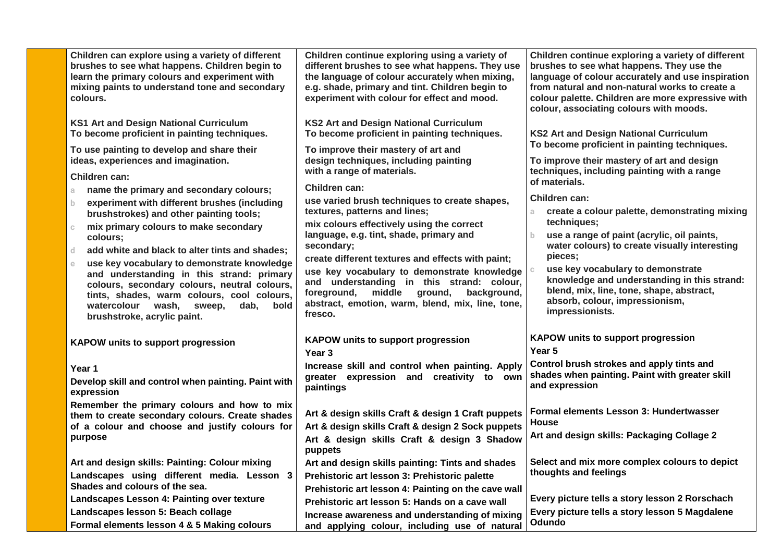| Children can explore using a variety of different<br>brushes to see what happens. Children begin to<br>learn the primary colours and experiment with<br>mixing paints to understand tone and secondary<br>colours.                                                        | Children continue exploring using a variety of<br>different brushes to see what happens. They use<br>the language of colour accurately when mixing,<br>e.g. shade, primary and tint. Children begin to<br>experiment with colour for effect and mood.           | Children continue exploring a variety of different<br>brushes to see what happens. They use the<br>language of colour accurately and use inspiration<br>from natural and non-natural works to create a<br>colour palette. Children are more expressive with<br>colour, associating colours with moods. |
|---------------------------------------------------------------------------------------------------------------------------------------------------------------------------------------------------------------------------------------------------------------------------|-----------------------------------------------------------------------------------------------------------------------------------------------------------------------------------------------------------------------------------------------------------------|--------------------------------------------------------------------------------------------------------------------------------------------------------------------------------------------------------------------------------------------------------------------------------------------------------|
| <b>KS1 Art and Design National Curriculum</b><br>To become proficient in painting techniques.                                                                                                                                                                             | <b>KS2 Art and Design National Curriculum</b><br>To become proficient in painting techniques.                                                                                                                                                                   | <b>KS2 Art and Design National Curriculum</b>                                                                                                                                                                                                                                                          |
| To use painting to develop and share their<br>ideas, experiences and imagination.<br>Children can:                                                                                                                                                                        | To improve their mastery of art and<br>design techniques, including painting<br>with a range of materials.                                                                                                                                                      | To become proficient in painting techniques.<br>To improve their mastery of art and design<br>techniques, including painting with a range<br>of materials.                                                                                                                                             |
| name the primary and secondary colours;<br>a.<br>experiment with different brushes (including<br>b.                                                                                                                                                                       | Children can:<br>use varied brush techniques to create shapes,                                                                                                                                                                                                  | Children can:                                                                                                                                                                                                                                                                                          |
| brushstrokes) and other painting tools;<br>mix primary colours to make secondary<br>$\mathbb{C}$                                                                                                                                                                          | textures, patterns and lines;<br>mix colours effectively using the correct                                                                                                                                                                                      | create a colour palette, demonstrating mixing<br>a.<br>techniques;                                                                                                                                                                                                                                     |
| colours;<br>d<br>add white and black to alter tints and shades;                                                                                                                                                                                                           | language, e.g. tint, shade, primary and<br>secondary;                                                                                                                                                                                                           | use a range of paint (acrylic, oil paints,<br>$\mathbf{b}$<br>water colours) to create visually interesting                                                                                                                                                                                            |
| use key vocabulary to demonstrate knowledge<br>e<br>and understanding in this strand: primary<br>colours, secondary colours, neutral colours,<br>tints, shades, warm colours, cool colours,<br>watercolour wash,<br>sweep,<br>dab.<br>bold<br>brushstroke, acrylic paint. | create different textures and effects with paint;<br>use key vocabulary to demonstrate knowledge<br>and understanding in this strand: colour,<br>foreground,<br>middle<br>ground,<br>background,<br>abstract, emotion, warm, blend, mix, line, tone,<br>fresco. | pieces;<br>use key vocabulary to demonstrate<br>knowledge and understanding in this strand:<br>blend, mix, line, tone, shape, abstract,<br>absorb, colour, impressionism,<br>impressionists.                                                                                                           |
| <b>KAPOW units to support progression</b>                                                                                                                                                                                                                                 | <b>KAPOW units to support progression</b><br>Year 3                                                                                                                                                                                                             | KAPOW units to support progression<br>Year 5                                                                                                                                                                                                                                                           |
| Year 1<br>Develop skill and control when painting. Paint with<br>expression                                                                                                                                                                                               | Increase skill and control when painting. Apply<br>greater expression and creativity to own<br>paintings                                                                                                                                                        | Control brush strokes and apply tints and<br>shades when painting. Paint with greater skill<br>and expression                                                                                                                                                                                          |
| Remember the primary colours and how to mix<br>them to create secondary colours. Create shades<br>of a colour and choose and justify colours for<br>purpose                                                                                                               | Art & design skills Craft & design 1 Craft puppets<br>Art & design skills Craft & design 2 Sock puppets<br>Art & design skills Craft & design 3 Shadow                                                                                                          | Formal elements Lesson 3: Hundertwasser<br><b>House</b><br>Art and design skills: Packaging Collage 2                                                                                                                                                                                                  |
| Art and design skills: Painting: Colour mixing                                                                                                                                                                                                                            | puppets<br>Art and design skills painting: Tints and shades                                                                                                                                                                                                     | Select and mix more complex colours to depict                                                                                                                                                                                                                                                          |
| Landscapes using different media. Lesson 3<br>Shades and colours of the sea.                                                                                                                                                                                              | Prehistoric art lesson 3: Prehistoric palette<br>Prehistoric art lesson 4: Painting on the cave wall                                                                                                                                                            | thoughts and feelings                                                                                                                                                                                                                                                                                  |
| Landscapes Lesson 4: Painting over texture                                                                                                                                                                                                                                | Prehistoric art lesson 5: Hands on a cave wall                                                                                                                                                                                                                  | Every picture tells a story lesson 2 Rorschach                                                                                                                                                                                                                                                         |
| Landscapes lesson 5: Beach collage<br>Formal elements lesson 4 & 5 Making colours                                                                                                                                                                                         | Increase awareness and understanding of mixing<br>and applying colour, including use of natural                                                                                                                                                                 | Every picture tells a story lesson 5 Magdalene<br>Odundo                                                                                                                                                                                                                                               |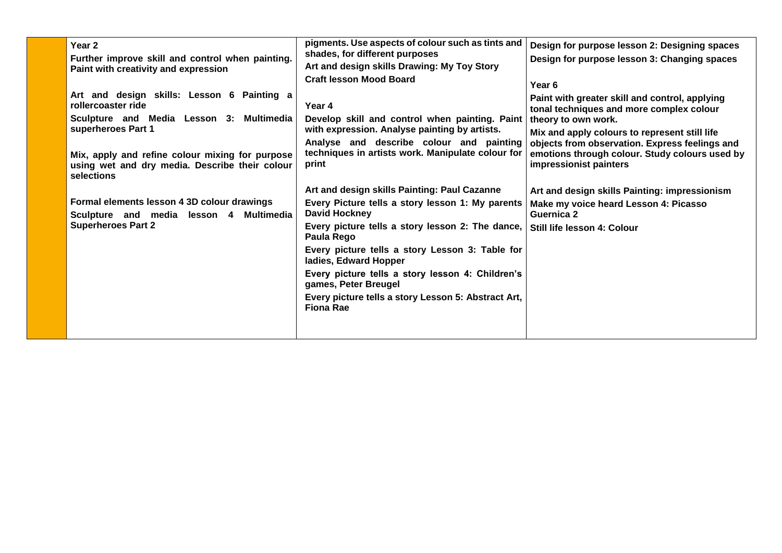| Year <sub>2</sub><br>Further improve skill and control when painting.<br>Paint with creativity and expression<br>Art and design skills: Lesson 6 Painting a<br>rollercoaster ride<br>Sculpture and Media Lesson 3: Multimedia<br>superheroes Part 1<br>Mix, apply and refine colour mixing for purpose<br>using wet and dry media. Describe their colour<br>selections<br>Formal elements lesson 4 3D colour drawings<br>Sculpture and media lesson 4 Multimedia<br><b>Superheroes Part 2</b> | pigments. Use aspects of colour such as tints and<br>shades, for different purposes<br>Art and design skills Drawing: My Toy Story<br><b>Craft lesson Mood Board</b><br>Year 4<br>Develop skill and control when painting. Paint<br>with expression. Analyse painting by artists.<br>Analyse and describe colour and painting<br>techniques in artists work. Manipulate colour for<br>print<br>Art and design skills Painting: Paul Cazanne<br>Every Picture tells a story lesson 1: My parents<br><b>David Hockney</b><br>Every picture tells a story lesson 2: The dance,<br>Paula Rego<br>Every picture tells a story Lesson 3: Table for<br>ladies, Edward Hopper<br>Every picture tells a story lesson 4: Children's<br>games, Peter Breugel<br>Every picture tells a story Lesson 5: Abstract Art,<br>Fiona Rae | Design for purpose lesson 2: Designing spaces<br>Design for purpose lesson 3: Changing spaces<br>Year <sub>6</sub><br>Paint with greater skill and control, applying<br>tonal techniques and more complex colour<br>theory to own work.<br>Mix and apply colours to represent still life<br>objects from observation. Express feelings and<br>emotions through colour. Study colours used by<br>impressionist painters<br>Art and design skills Painting: impressionism<br>Make my voice heard Lesson 4: Picasso<br><b>Guernica 2</b><br>Still life lesson 4: Colour |
|-----------------------------------------------------------------------------------------------------------------------------------------------------------------------------------------------------------------------------------------------------------------------------------------------------------------------------------------------------------------------------------------------------------------------------------------------------------------------------------------------|-----------------------------------------------------------------------------------------------------------------------------------------------------------------------------------------------------------------------------------------------------------------------------------------------------------------------------------------------------------------------------------------------------------------------------------------------------------------------------------------------------------------------------------------------------------------------------------------------------------------------------------------------------------------------------------------------------------------------------------------------------------------------------------------------------------------------|----------------------------------------------------------------------------------------------------------------------------------------------------------------------------------------------------------------------------------------------------------------------------------------------------------------------------------------------------------------------------------------------------------------------------------------------------------------------------------------------------------------------------------------------------------------------|
|-----------------------------------------------------------------------------------------------------------------------------------------------------------------------------------------------------------------------------------------------------------------------------------------------------------------------------------------------------------------------------------------------------------------------------------------------------------------------------------------------|-----------------------------------------------------------------------------------------------------------------------------------------------------------------------------------------------------------------------------------------------------------------------------------------------------------------------------------------------------------------------------------------------------------------------------------------------------------------------------------------------------------------------------------------------------------------------------------------------------------------------------------------------------------------------------------------------------------------------------------------------------------------------------------------------------------------------|----------------------------------------------------------------------------------------------------------------------------------------------------------------------------------------------------------------------------------------------------------------------------------------------------------------------------------------------------------------------------------------------------------------------------------------------------------------------------------------------------------------------------------------------------------------------|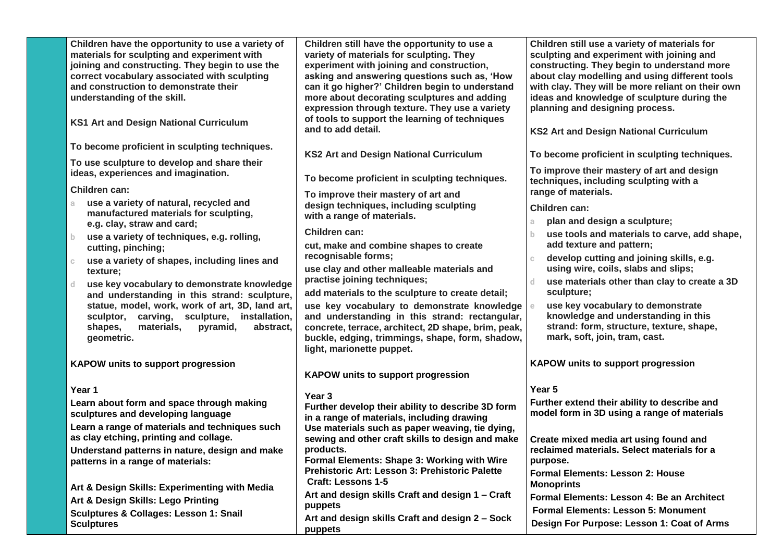| Children have the opportunity to use a variety of<br>materials for sculpting and experiment with<br>joining and constructing. They begin to use the<br>correct vocabulary associated with sculpting<br>and construction to demonstrate their<br>understanding of the skill.<br>KS1 Art and Design National Curriculum | Children still have the opportunity to use a<br>variety of materials for sculpting. They<br>experiment with joining and construction,<br>asking and answering questions such as, 'How<br>can it go higher?' Children begin to understand<br>more about decorating sculptures and adding<br>expression through texture. They use a variety<br>of tools to support the learning of techniques<br>and to add detail. | Children still use a variety of materials for<br>sculpting and experiment with joining and<br>constructing. They begin to understand more<br>about clay modelling and using different tools<br>with clay. They will be more reliant on their own<br>ideas and knowledge of sculpture during the<br>planning and designing process.<br><b>KS2 Art and Design National Curriculum</b> |
|-----------------------------------------------------------------------------------------------------------------------------------------------------------------------------------------------------------------------------------------------------------------------------------------------------------------------|-------------------------------------------------------------------------------------------------------------------------------------------------------------------------------------------------------------------------------------------------------------------------------------------------------------------------------------------------------------------------------------------------------------------|-------------------------------------------------------------------------------------------------------------------------------------------------------------------------------------------------------------------------------------------------------------------------------------------------------------------------------------------------------------------------------------|
| To become proficient in sculpting techniques.                                                                                                                                                                                                                                                                         |                                                                                                                                                                                                                                                                                                                                                                                                                   |                                                                                                                                                                                                                                                                                                                                                                                     |
| To use sculpture to develop and share their                                                                                                                                                                                                                                                                           | <b>KS2 Art and Design National Curriculum</b>                                                                                                                                                                                                                                                                                                                                                                     | To become proficient in sculpting techniques.                                                                                                                                                                                                                                                                                                                                       |
| ideas, experiences and imagination.<br>Children can:                                                                                                                                                                                                                                                                  | To become proficient in sculpting techniques.                                                                                                                                                                                                                                                                                                                                                                     | To improve their mastery of art and design<br>techniques, including sculpting with a                                                                                                                                                                                                                                                                                                |
| use a variety of natural, recycled and<br>a.                                                                                                                                                                                                                                                                          | To improve their mastery of art and                                                                                                                                                                                                                                                                                                                                                                               | range of materials.                                                                                                                                                                                                                                                                                                                                                                 |
| manufactured materials for sculpting,                                                                                                                                                                                                                                                                                 | design techniques, including sculpting<br>with a range of materials.                                                                                                                                                                                                                                                                                                                                              | Children can:                                                                                                                                                                                                                                                                                                                                                                       |
| e.g. clay, straw and card;                                                                                                                                                                                                                                                                                            | Children can:                                                                                                                                                                                                                                                                                                                                                                                                     | plan and design a sculpture;<br>a.                                                                                                                                                                                                                                                                                                                                                  |
| use a variety of techniques, e.g. rolling,<br>b.<br>cutting, pinching;                                                                                                                                                                                                                                                | cut, make and combine shapes to create                                                                                                                                                                                                                                                                                                                                                                            | use tools and materials to carve, add shape,<br>add texture and pattern;                                                                                                                                                                                                                                                                                                            |
| use a variety of shapes, including lines and<br>$\mathbb{C}$                                                                                                                                                                                                                                                          | recognisable forms;                                                                                                                                                                                                                                                                                                                                                                                               | develop cutting and joining skills, e.g.<br>C.                                                                                                                                                                                                                                                                                                                                      |
| texture;                                                                                                                                                                                                                                                                                                              | use clay and other malleable materials and                                                                                                                                                                                                                                                                                                                                                                        | using wire, coils, slabs and slips;                                                                                                                                                                                                                                                                                                                                                 |
| use key vocabulary to demonstrate knowledge<br>d.                                                                                                                                                                                                                                                                     | practise joining techniques;                                                                                                                                                                                                                                                                                                                                                                                      | use materials other than clay to create a 3D<br>d.                                                                                                                                                                                                                                                                                                                                  |
| and understanding in this strand: sculpture,                                                                                                                                                                                                                                                                          | add materials to the sculpture to create detail;                                                                                                                                                                                                                                                                                                                                                                  | sculpture;<br>use key vocabulary to demonstrate                                                                                                                                                                                                                                                                                                                                     |
| statue, model, work, work of art, 3D, land art,<br>sculptor, carving, sculpture, installation,<br>shapes,<br>materials,<br>pyramid,<br>abstract,<br>geometric.                                                                                                                                                        | use key vocabulary to demonstrate knowledge<br>and understanding in this strand: rectangular,<br>concrete, terrace, architect, 2D shape, brim, peak,<br>buckle, edging, trimmings, shape, form, shadow,<br>light, marionette puppet.                                                                                                                                                                              | knowledge and understanding in this<br>strand: form, structure, texture, shape,<br>mark, soft, join, tram, cast.                                                                                                                                                                                                                                                                    |
| <b>KAPOW units to support progression</b>                                                                                                                                                                                                                                                                             |                                                                                                                                                                                                                                                                                                                                                                                                                   | <b>KAPOW units to support progression</b>                                                                                                                                                                                                                                                                                                                                           |
|                                                                                                                                                                                                                                                                                                                       | <b>KAPOW units to support progression</b>                                                                                                                                                                                                                                                                                                                                                                         |                                                                                                                                                                                                                                                                                                                                                                                     |
| Year 1                                                                                                                                                                                                                                                                                                                | Year <sub>3</sub>                                                                                                                                                                                                                                                                                                                                                                                                 | Year 5                                                                                                                                                                                                                                                                                                                                                                              |
| Learn about form and space through making<br>sculptures and developing language                                                                                                                                                                                                                                       | Further develop their ability to describe 3D form                                                                                                                                                                                                                                                                                                                                                                 | Further extend their ability to describe and<br>model form in 3D using a range of materials                                                                                                                                                                                                                                                                                         |
| Learn a range of materials and techniques such                                                                                                                                                                                                                                                                        | in a range of materials, including drawing<br>Use materials such as paper weaving, tie dying,                                                                                                                                                                                                                                                                                                                     |                                                                                                                                                                                                                                                                                                                                                                                     |
| as clay etching, printing and collage.                                                                                                                                                                                                                                                                                | sewing and other craft skills to design and make                                                                                                                                                                                                                                                                                                                                                                  | Create mixed media art using found and                                                                                                                                                                                                                                                                                                                                              |
| Understand patterns in nature, design and make                                                                                                                                                                                                                                                                        | products.                                                                                                                                                                                                                                                                                                                                                                                                         | reclaimed materials. Select materials for a                                                                                                                                                                                                                                                                                                                                         |
| patterns in a range of materials:                                                                                                                                                                                                                                                                                     | Formal Elements: Shape 3: Working with Wire<br>Prehistoric Art: Lesson 3: Prehistoric Palette                                                                                                                                                                                                                                                                                                                     | purpose.                                                                                                                                                                                                                                                                                                                                                                            |
|                                                                                                                                                                                                                                                                                                                       | <b>Craft: Lessons 1-5</b>                                                                                                                                                                                                                                                                                                                                                                                         | <b>Formal Elements: Lesson 2: House</b><br><b>Monoprints</b>                                                                                                                                                                                                                                                                                                                        |
| Art & Design Skills: Experimenting with Media<br>Art & Design Skills: Lego Printing                                                                                                                                                                                                                                   | Art and design skills Craft and design 1 - Craft                                                                                                                                                                                                                                                                                                                                                                  | Formal Elements: Lesson 4: Be an Architect                                                                                                                                                                                                                                                                                                                                          |
| <b>Sculptures &amp; Collages: Lesson 1: Snail</b>                                                                                                                                                                                                                                                                     | puppets                                                                                                                                                                                                                                                                                                                                                                                                           | <b>Formal Elements: Lesson 5: Monument</b>                                                                                                                                                                                                                                                                                                                                          |
| <b>Sculptures</b>                                                                                                                                                                                                                                                                                                     | Art and design skills Craft and design 2 - Sock<br>puppets                                                                                                                                                                                                                                                                                                                                                        | Design For Purpose: Lesson 1: Coat of Arms                                                                                                                                                                                                                                                                                                                                          |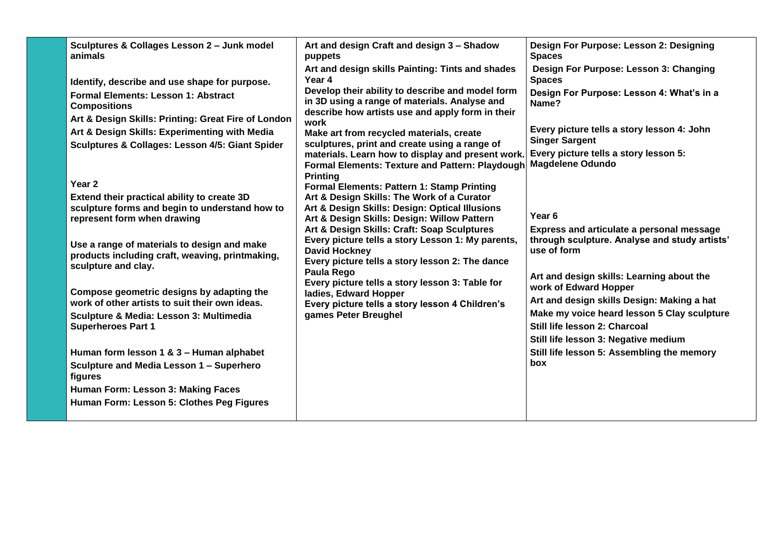| Sculptures & Collages Lesson 2 - Junk model<br>animals                                                                   | Art and design Craft and design 3 - Shadow<br>puppets                                                                                                                       | Design For Purpose: Lesson 2: Designing<br><b>Spaces</b>                                                  |
|--------------------------------------------------------------------------------------------------------------------------|-----------------------------------------------------------------------------------------------------------------------------------------------------------------------------|-----------------------------------------------------------------------------------------------------------|
| Identify, describe and use shape for purpose.                                                                            | Art and design skills Painting: Tints and shades<br>Year 4                                                                                                                  | Design For Purpose: Lesson 3: Changing<br><b>Spaces</b>                                                   |
| <b>Formal Elements: Lesson 1: Abstract</b><br><b>Compositions</b><br>Art & Design Skills: Printing: Great Fire of London | Develop their ability to describe and model form<br>in 3D using a range of materials. Analyse and<br>describe how artists use and apply form in their                       | Design For Purpose: Lesson 4: What's in a<br>Name?                                                        |
| Art & Design Skills: Experimenting with Media<br>Sculptures & Collages: Lesson 4/5: Giant Spider                         | work<br>Make art from recycled materials, create<br>sculptures, print and create using a range of                                                                           | Every picture tells a story lesson 4: John<br><b>Singer Sargent</b>                                       |
|                                                                                                                          | materials. Learn how to display and present work.<br><b>Formal Elements: Texture and Pattern: Playdough</b><br><b>Printing</b>                                              | Every picture tells a story lesson 5:<br><b>Magdelene Odundo</b>                                          |
| Year <sub>2</sub>                                                                                                        | Formal Elements: Pattern 1: Stamp Printing                                                                                                                                  |                                                                                                           |
| Extend their practical ability to create 3D                                                                              | Art & Design Skills: The Work of a Curator                                                                                                                                  |                                                                                                           |
| sculpture forms and begin to understand how to                                                                           | Art & Design Skills: Design: Optical Illusions                                                                                                                              |                                                                                                           |
| represent form when drawing                                                                                              | Art & Design Skills: Design: Willow Pattern                                                                                                                                 | Year <sub>6</sub>                                                                                         |
| Use a range of materials to design and make<br>products including craft, weaving, printmaking,<br>sculpture and clay.    | Art & Design Skills: Craft: Soap Sculptures<br>Every picture tells a story Lesson 1: My parents,<br><b>David Hockney</b><br>Every picture tells a story lesson 2: The dance | Express and articulate a personal message<br>through sculpture. Analyse and study artists'<br>use of form |
|                                                                                                                          | Paula Rego<br>Every picture tells a story lesson 3: Table for                                                                                                               | Art and design skills: Learning about the                                                                 |
| Compose geometric designs by adapting the                                                                                | ladies, Edward Hopper                                                                                                                                                       | work of Edward Hopper                                                                                     |
| work of other artists to suit their own ideas.                                                                           | Every picture tells a story lesson 4 Children's                                                                                                                             | Art and design skills Design: Making a hat                                                                |
| Sculpture & Media: Lesson 3: Multimedia                                                                                  | games Peter Breughel                                                                                                                                                        | Make my voice heard lesson 5 Clay sculpture                                                               |
| <b>Superheroes Part 1</b>                                                                                                |                                                                                                                                                                             | Still life lesson 2: Charcoal                                                                             |
|                                                                                                                          |                                                                                                                                                                             | Still life lesson 3: Negative medium                                                                      |
| Human form lesson 1 & 3 - Human alphabet                                                                                 |                                                                                                                                                                             | Still life lesson 5: Assembling the memory<br>box                                                         |
| Sculpture and Media Lesson 1 - Superhero<br>figures                                                                      |                                                                                                                                                                             |                                                                                                           |
| Human Form: Lesson 3: Making Faces                                                                                       |                                                                                                                                                                             |                                                                                                           |
| Human Form: Lesson 5: Clothes Peg Figures                                                                                |                                                                                                                                                                             |                                                                                                           |
|                                                                                                                          |                                                                                                                                                                             |                                                                                                           |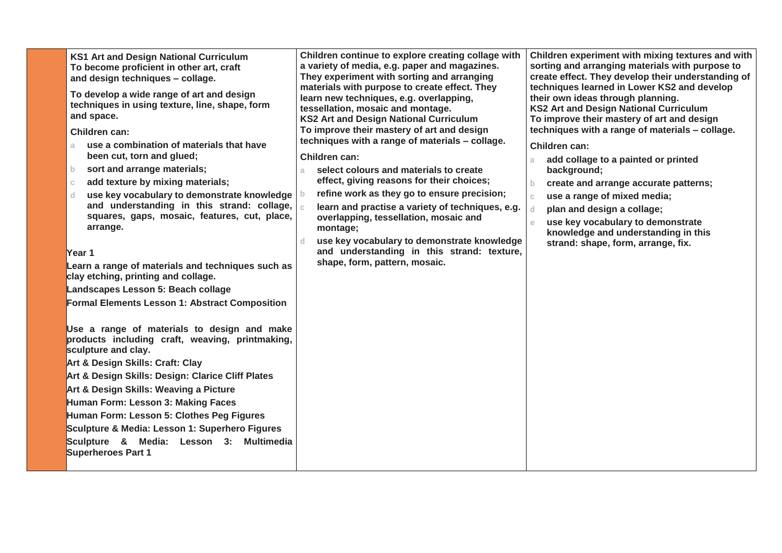| <b>KS1 Art and Design National Curriculum</b><br>To become proficient in other art, craft<br>and design techniques - collage.<br>To develop a wide range of art and design<br>techniques in using texture, line, shape, form<br>and space.<br>Children can:<br>use a combination of materials that have<br>a.<br>been cut, torn and glued;<br>sort and arrange materials;<br>b.<br>add texture by mixing materials;<br>$\mathbb{C}$<br>use key vocabulary to demonstrate knowledge<br>d.<br>and understanding in this strand: collage,<br>squares, gaps, mosaic, features, cut, place,<br>arrange.<br>Year 1<br>Learn a range of materials and techniques such as<br>clay etching, printing and collage.<br>Landscapes Lesson 5: Beach collage<br><b>Formal Elements Lesson 1: Abstract Composition</b> | Children continue to explore creating collage with<br>a variety of media, e.g. paper and magazines.<br>They experiment with sorting and arranging<br>materials with purpose to create effect. They<br>learn new techniques, e.g. overlapping,<br>tessellation, mosaic and montage.<br><b>KS2 Art and Design National Curriculum</b><br>To improve their mastery of art and design<br>techniques with a range of materials - collage.<br>Children can:<br>select colours and materials to create<br>a.<br>effect, giving reasons for their choices;<br>refine work as they go to ensure precision;<br>learn and practise a variety of techniques, e.g.<br>overlapping, tessellation, mosaic and<br>montage;<br>use key vocabulary to demonstrate knowledge<br>and understanding in this strand: texture,<br>shape, form, pattern, mosaic. | Children experiment with mixing textures and with<br>sorting and arranging materials with purpose to<br>create effect. They develop their understanding of<br>techniques learned in Lower KS2 and develop<br>their own ideas through planning.<br><b>KS2 Art and Design National Curriculum</b><br>To improve their mastery of art and design<br>techniques with a range of materials - collage.<br>Children can:<br>add collage to a painted or printed<br>a.<br>background;<br>create and arrange accurate patterns;<br>b.<br>use a range of mixed media;<br>$\mathbb{C}$<br>plan and design a collage;<br>$\mathbf d$<br>use key vocabulary to demonstrate<br>$\mathbf{e}$<br>knowledge and understanding in this<br>strand: shape, form, arrange, fix. |
|---------------------------------------------------------------------------------------------------------------------------------------------------------------------------------------------------------------------------------------------------------------------------------------------------------------------------------------------------------------------------------------------------------------------------------------------------------------------------------------------------------------------------------------------------------------------------------------------------------------------------------------------------------------------------------------------------------------------------------------------------------------------------------------------------------|------------------------------------------------------------------------------------------------------------------------------------------------------------------------------------------------------------------------------------------------------------------------------------------------------------------------------------------------------------------------------------------------------------------------------------------------------------------------------------------------------------------------------------------------------------------------------------------------------------------------------------------------------------------------------------------------------------------------------------------------------------------------------------------------------------------------------------------|------------------------------------------------------------------------------------------------------------------------------------------------------------------------------------------------------------------------------------------------------------------------------------------------------------------------------------------------------------------------------------------------------------------------------------------------------------------------------------------------------------------------------------------------------------------------------------------------------------------------------------------------------------------------------------------------------------------------------------------------------------|
| Use a range of materials to design and make<br>products including craft, weaving, printmaking,<br>sculpture and clay.<br>Art & Design Skills: Craft: Clay<br>Art & Design Skills: Design: Clarice Cliff Plates<br>Art & Design Skills: Weaving a Picture<br>Human Form: Lesson 3: Making Faces<br>Human Form: Lesson 5: Clothes Peg Figures<br>Sculpture & Media: Lesson 1: Superhero Figures<br>Sculpture & Media: Lesson 3: Multimedia<br><b>Superheroes Part 1</b>                                                                                                                                                                                                                                                                                                                                   |                                                                                                                                                                                                                                                                                                                                                                                                                                                                                                                                                                                                                                                                                                                                                                                                                                          |                                                                                                                                                                                                                                                                                                                                                                                                                                                                                                                                                                                                                                                                                                                                                            |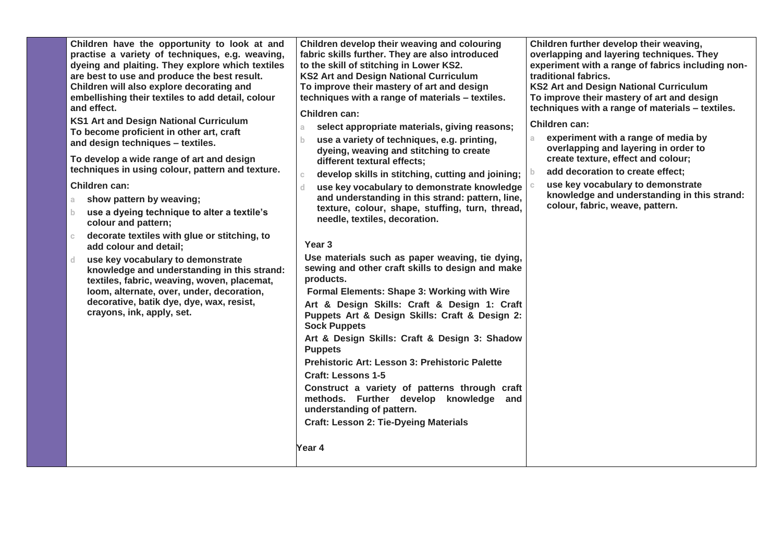practise a variety of techniques, e.g. weaving, **e dyeing and plaiting. They explore which textiles x are best to use and produce the best result. t Children will also explore decorating and i embellishing their textiles to add detail, colour e KS1 Art and Design National Curriculum s To become proficient in other art, craft Children have the opportunity to look at and and effect. and design techniques – textiles. To develop a wide range of art and design techniques in using colour, pattern and texture. Children can: a show pattern by weaving; b use a dyeing technique to alter a textile's colour and pattern; c decorate textiles with glue or stitching, to add colour and detail; d use key vocabulary to demonstrate knowledge and understanding in this strand: textiles, fabric, weaving, woven, placemat, loom, alternate, over, under, decoration, decorative, batik dye, dye, wax, resist, crayons, ink, apply, set. Children develop their weaving and colouring fabric skills further. They are also introduced to the skill of stitching in Lower KS2. KS2 Art and Design National Curriculum To improve their mastery of art and design techniques with a range of materials – textiles. Children can: a select appropriate materials, giving reasons; b use a variety of techniques, e.g. printing, dyeing, weaving and stitching to create different textural effects; c develop skills in stitching, cutting and joining; d use key vocabulary to demonstrate knowledge and understanding in this strand: pattern, line, texture, colour, shape, stuffing, turn, thread, needle, textiles, decoration. Year 3 Use materials such as paper weaving, tie dying, sewing and other craft skills to design and make products. Formal Elements: Shape 3: Working with Wire Art & Design Skills: Craft & Design 1: Craft Puppets Art & Design Skills: Craft & Design 2: Sock Puppets Art & Design Skills: Craft & Design 3: Shadow Puppets Prehistoric Art: Lesson 3: Prehistoric Palette Craft: Lessons 1-5 Construct a variety of patterns through craft methods. Further develop knowledge and understanding of pattern. Craft: Lesson 2: Tie-Dyeing Materials Year 4 Children further develop their weaving, overlapping and layering techniques. They experiment with a range of fabrics including nontraditional fabrics. KS2 Art and Design National Curriculum To improve their mastery of art and design techniques with a range of materials – textiles. Children can: a experiment with a range of media by overlapping and layering in order to create texture, effect and colour; b add decoration to create effect; c use key vocabulary to demonstrate knowledge and understanding in this strand: colour, fabric, weave, pattern.**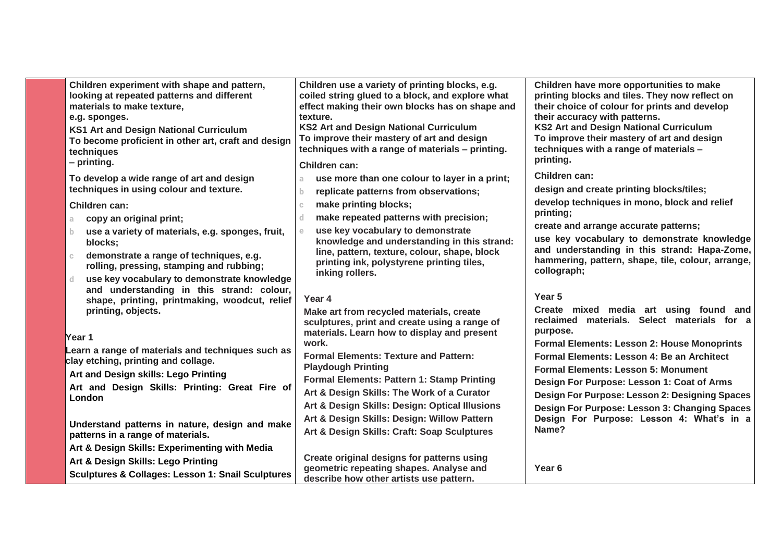| Children experiment with shape and pattern,<br>looking at repeated patterns and different<br>materials to make texture,<br>e.g. sponges.<br><b>KS1 Art and Design National Curriculum</b><br>To become proficient in other art, craft and design<br>techniques<br>$-$ printing. | Children use a variety of printing blocks, e.g.<br>coiled string glued to a block, and explore what<br>effect making their own blocks has on shape and<br>texture.<br><b>KS2 Art and Design National Curriculum</b><br>To improve their mastery of art and design<br>techniques with a range of materials - printing.<br>Children can: | Children have more opportunities to make<br>printing blocks and tiles. They now reflect on<br>their choice of colour for prints and develop<br>their accuracy with patterns.<br><b>KS2 Art and Design National Curriculum</b><br>To improve their mastery of art and design<br>techniques with a range of materials -<br>printing. |
|---------------------------------------------------------------------------------------------------------------------------------------------------------------------------------------------------------------------------------------------------------------------------------|----------------------------------------------------------------------------------------------------------------------------------------------------------------------------------------------------------------------------------------------------------------------------------------------------------------------------------------|------------------------------------------------------------------------------------------------------------------------------------------------------------------------------------------------------------------------------------------------------------------------------------------------------------------------------------|
| To develop a wide range of art and design                                                                                                                                                                                                                                       | use more than one colour to layer in a print;                                                                                                                                                                                                                                                                                          | Children can:                                                                                                                                                                                                                                                                                                                      |
| techniques in using colour and texture.                                                                                                                                                                                                                                         | replicate patterns from observations;                                                                                                                                                                                                                                                                                                  | design and create printing blocks/tiles;                                                                                                                                                                                                                                                                                           |
| Children can:                                                                                                                                                                                                                                                                   | make printing blocks;                                                                                                                                                                                                                                                                                                                  | develop techniques in mono, block and relief<br>printing;                                                                                                                                                                                                                                                                          |
| copy an original print;<br>a.                                                                                                                                                                                                                                                   | make repeated patterns with precision;                                                                                                                                                                                                                                                                                                 | create and arrange accurate patterns;                                                                                                                                                                                                                                                                                              |
| use a variety of materials, e.g. sponges, fruit,<br>$\mathbf{b}$<br>blocks;                                                                                                                                                                                                     | use key vocabulary to demonstrate<br>knowledge and understanding in this strand:                                                                                                                                                                                                                                                       | use key vocabulary to demonstrate knowledge                                                                                                                                                                                                                                                                                        |
| demonstrate a range of techniques, e.g.<br>$\mathbb{C}$<br>rolling, pressing, stamping and rubbing;                                                                                                                                                                             | line, pattern, texture, colour, shape, block<br>printing ink, polystyrene printing tiles,<br>inking rollers.                                                                                                                                                                                                                           | and understanding in this strand: Hapa-Zome,<br>hammering, pattern, shape, tile, colour, arrange,<br>collograph;                                                                                                                                                                                                                   |
| use key vocabulary to demonstrate knowledge<br>d.                                                                                                                                                                                                                               |                                                                                                                                                                                                                                                                                                                                        |                                                                                                                                                                                                                                                                                                                                    |
| and understanding in this strand: colour,<br>shape, printing, printmaking, woodcut, relief                                                                                                                                                                                      | Year 4                                                                                                                                                                                                                                                                                                                                 | Year 5                                                                                                                                                                                                                                                                                                                             |
| printing, objects.                                                                                                                                                                                                                                                              | Make art from recycled materials, create<br>sculptures, print and create using a range of                                                                                                                                                                                                                                              | Create mixed media art using found and<br>reclaimed materials. Select materials for a<br>purpose.                                                                                                                                                                                                                                  |
| Year 1                                                                                                                                                                                                                                                                          | materials. Learn how to display and present<br>work.                                                                                                                                                                                                                                                                                   | <b>Formal Elements: Lesson 2: House Monoprints</b>                                                                                                                                                                                                                                                                                 |
| Learn a range of materials and techniques such as                                                                                                                                                                                                                               | <b>Formal Elements: Texture and Pattern:</b>                                                                                                                                                                                                                                                                                           | Formal Elements: Lesson 4: Be an Architect                                                                                                                                                                                                                                                                                         |
| clay etching, printing and collage.                                                                                                                                                                                                                                             | <b>Playdough Printing</b>                                                                                                                                                                                                                                                                                                              | <b>Formal Elements: Lesson 5: Monument</b>                                                                                                                                                                                                                                                                                         |
| Art and Design skills: Lego Printing<br>Art and Design Skills: Printing: Great Fire of                                                                                                                                                                                          | Formal Elements: Pattern 1: Stamp Printing                                                                                                                                                                                                                                                                                             | Design For Purpose: Lesson 1: Coat of Arms                                                                                                                                                                                                                                                                                         |
| London                                                                                                                                                                                                                                                                          | Art & Design Skills: The Work of a Curator                                                                                                                                                                                                                                                                                             | Design For Purpose: Lesson 2: Designing Spaces                                                                                                                                                                                                                                                                                     |
|                                                                                                                                                                                                                                                                                 | Art & Design Skills: Design: Optical Illusions                                                                                                                                                                                                                                                                                         | Design For Purpose: Lesson 3: Changing Spaces                                                                                                                                                                                                                                                                                      |
| Understand patterns in nature, design and make                                                                                                                                                                                                                                  | Art & Design Skills: Design: Willow Pattern                                                                                                                                                                                                                                                                                            | Design For Purpose: Lesson 4: What's in a                                                                                                                                                                                                                                                                                          |
| patterns in a range of materials.                                                                                                                                                                                                                                               | Art & Design Skills: Craft: Soap Sculptures                                                                                                                                                                                                                                                                                            | Name?                                                                                                                                                                                                                                                                                                                              |
| Art & Design Skills: Experimenting with Media                                                                                                                                                                                                                                   |                                                                                                                                                                                                                                                                                                                                        |                                                                                                                                                                                                                                                                                                                                    |
| Art & Design Skills: Lego Printing                                                                                                                                                                                                                                              | Create original designs for patterns using<br>geometric repeating shapes. Analyse and                                                                                                                                                                                                                                                  | Year <sub>6</sub>                                                                                                                                                                                                                                                                                                                  |
| <b>Sculptures &amp; Collages: Lesson 1: Snail Sculptures</b>                                                                                                                                                                                                                    | describe how other artists use pattern.                                                                                                                                                                                                                                                                                                |                                                                                                                                                                                                                                                                                                                                    |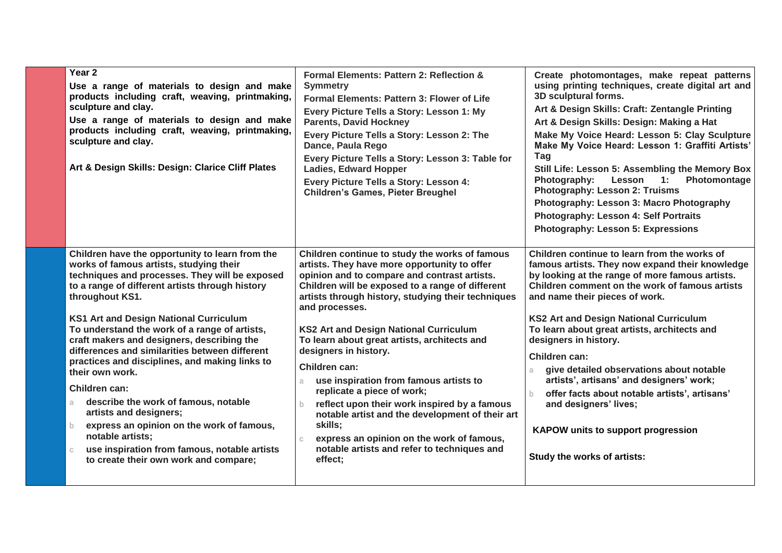| Year 2<br>Use a range of materials to design and make<br>products including craft, weaving, printmaking,<br>sculpture and clay.<br>Use a range of materials to design and make<br>products including craft, weaving, printmaking,<br>sculpture and clay.<br>Art & Design Skills: Design: Clarice Cliff Plates<br>Children have the opportunity to learn from the                                                                                                                                                                                                                                                                                                                                                   | Formal Elements: Pattern 2: Reflection &<br><b>Symmetry</b><br>Formal Elements: Pattern 3: Flower of Life<br>Every Picture Tells a Story: Lesson 1: My<br><b>Parents, David Hockney</b><br>Every Picture Tells a Story: Lesson 2: The<br>Dance, Paula Rego<br>Every Picture Tells a Story: Lesson 3: Table for<br><b>Ladies, Edward Hopper</b><br>Every Picture Tells a Story: Lesson 4:<br><b>Children's Games, Pieter Breughel</b><br>Children continue to study the works of famous                                                                                                                                                                                                                | Create photomontages, make repeat patterns<br>using printing techniques, create digital art and<br>3D sculptural forms.<br>Art & Design Skills: Craft: Zentangle Printing<br>Art & Design Skills: Design: Making a Hat<br>Make My Voice Heard: Lesson 5: Clay Sculpture<br>Make My Voice Heard: Lesson 1: Graffiti Artists'<br>Tag<br>Still Life: Lesson 5: Assembling the Memory Box<br>Lesson<br>Photomontage<br>Photography:<br>$\overline{1}$ :<br>Photography: Lesson 2: Truisms<br>Photography: Lesson 3: Macro Photography<br>Photography: Lesson 4: Self Portraits<br><b>Photography: Lesson 5: Expressions</b><br>Children continue to learn from the works of |
|--------------------------------------------------------------------------------------------------------------------------------------------------------------------------------------------------------------------------------------------------------------------------------------------------------------------------------------------------------------------------------------------------------------------------------------------------------------------------------------------------------------------------------------------------------------------------------------------------------------------------------------------------------------------------------------------------------------------|-------------------------------------------------------------------------------------------------------------------------------------------------------------------------------------------------------------------------------------------------------------------------------------------------------------------------------------------------------------------------------------------------------------------------------------------------------------------------------------------------------------------------------------------------------------------------------------------------------------------------------------------------------------------------------------------------------|-------------------------------------------------------------------------------------------------------------------------------------------------------------------------------------------------------------------------------------------------------------------------------------------------------------------------------------------------------------------------------------------------------------------------------------------------------------------------------------------------------------------------------------------------------------------------------------------------------------------------------------------------------------------------|
| works of famous artists, studying their<br>techniques and processes. They will be exposed<br>to a range of different artists through history<br>throughout KS1.<br><b>KS1 Art and Design National Curriculum</b><br>To understand the work of a range of artists,<br>craft makers and designers, describing the<br>differences and similarities between different<br>practices and disciplines, and making links to<br>their own work.<br>Children can:<br>describe the work of famous, notable<br>a.<br>artists and designers;<br>express an opinion on the work of famous,<br>$b -$<br>notable artists;<br>use inspiration from famous, notable artists<br>$\mathbb{C}$<br>to create their own work and compare; | artists. They have more opportunity to offer<br>opinion and to compare and contrast artists.<br>Children will be exposed to a range of different<br>artists through history, studying their techniques<br>and processes.<br><b>KS2 Art and Design National Curriculum</b><br>To learn about great artists, architects and<br>designers in history.<br>Children can:<br>use inspiration from famous artists to<br>a.<br>replicate a piece of work;<br>reflect upon their work inspired by a famous<br>$\mathbf b$<br>notable artist and the development of their art<br>skills;<br>express an opinion on the work of famous,<br>$\mathbb{C}$<br>notable artists and refer to techniques and<br>effect; | famous artists. They now expand their knowledge<br>by looking at the range of more famous artists.<br>Children comment on the work of famous artists<br>and name their pieces of work.<br><b>KS2 Art and Design National Curriculum</b><br>To learn about great artists, architects and<br>designers in history.<br>Children can:<br>give detailed observations about notable<br>artists', artisans' and designers' work;<br>offer facts about notable artists', artisans'<br>b<br>and designers' lives;<br><b>KAPOW units to support progression</b><br>Study the works of artists:                                                                                    |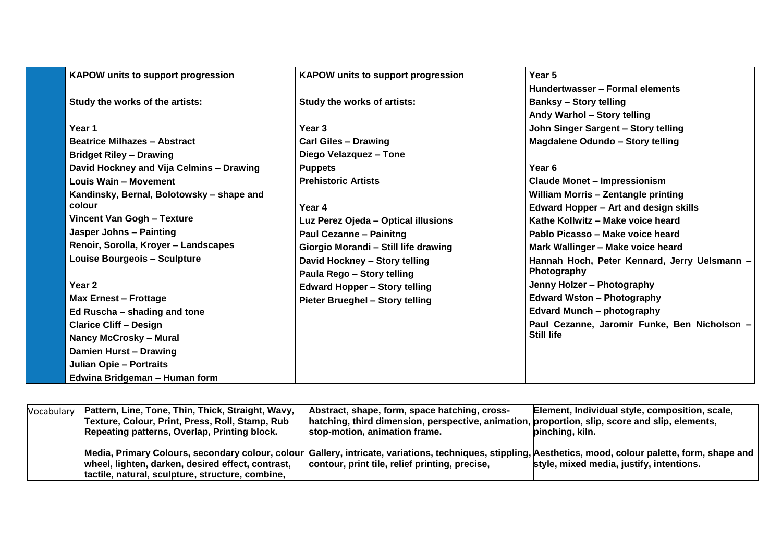| <b>KAPOW units to support progression</b> | <b>KAPOW units to support progression</b> | Year 5                                       |
|-------------------------------------------|-------------------------------------------|----------------------------------------------|
|                                           |                                           | Hundertwasser - Formal elements              |
| Study the works of the artists:           | Study the works of artists:               | <b>Banksy - Story telling</b>                |
|                                           |                                           | Andy Warhol - Story telling                  |
| Year 1                                    | Year <sub>3</sub>                         | John Singer Sargent - Story telling          |
| <b>Beatrice Milhazes - Abstract</b>       | <b>Carl Giles - Drawing</b>               | Magdalene Odundo - Story telling             |
| <b>Bridget Riley - Drawing</b>            | Diego Velazquez - Tone                    |                                              |
| David Hockney and Vija Celmins - Drawing  | <b>Puppets</b>                            | Year 6                                       |
| Louis Wain - Movement                     | <b>Prehistoric Artists</b>                | <b>Claude Monet - Impressionism</b>          |
| Kandinsky, Bernal, Bolotowsky - shape and |                                           | <b>William Morris - Zentangle printing</b>   |
| colour                                    | Year 4                                    | <b>Edward Hopper - Art and design skills</b> |
| Vincent Van Gogh - Texture                | Luz Perez Ojeda - Optical illusions       | Kathe Kollwitz - Make voice heard            |
| Jasper Johns - Painting                   | <b>Paul Cezanne - Painitng</b>            | Pablo Picasso - Make voice heard             |
| Renoir, Sorolla, Kroyer - Landscapes      | Giorgio Morandi - Still life drawing      | Mark Wallinger - Make voice heard            |
| <b>Louise Bourgeois - Sculpture</b>       | David Hockney - Story telling             | Hannah Hoch, Peter Kennard, Jerry Uelsmann - |
|                                           | Paula Rego - Story telling                | Photography                                  |
| Year 2                                    | <b>Edward Hopper - Story telling</b>      | Jenny Holzer - Photography                   |
| <b>Max Ernest - Frottage</b>              | Pieter Brueghel - Story telling           | <b>Edward Wston - Photography</b>            |
| Ed Ruscha - shading and tone              |                                           | <b>Edvard Munch - photography</b>            |
| <b>Clarice Cliff - Design</b>             |                                           | Paul Cezanne, Jaromir Funke, Ben Nicholson - |
| <b>Nancy McCrosky - Mural</b>             |                                           | Still life                                   |
| Damien Hurst - Drawing                    |                                           |                                              |
| <b>Julian Opie - Portraits</b>            |                                           |                                              |
| Edwina Bridgeman - Human form             |                                           |                                              |

| Vocabulary | Pattern, Line, Tone, Thin, Thick, Straight, Wavy, | Abstract, shape, form, space hatching, cross-                                                                                                             | Element, Individual style, composition, scale, |
|------------|---------------------------------------------------|-----------------------------------------------------------------------------------------------------------------------------------------------------------|------------------------------------------------|
|            | Texture, Colour, Print, Press, Roll, Stamp, Rub   | hatching, third dimension, perspective, animation, proportion, slip, score and slip, elements,                                                            |                                                |
|            | Repeating patterns, Overlap, Printing block.      | stop-motion, animation frame.                                                                                                                             | pinching, kiln.                                |
|            |                                                   |                                                                                                                                                           |                                                |
|            |                                                   | Media, Primary Colours, secondary colour, colour Gallery, intricate, variations, techniques, stippling, Aesthetics, mood, colour palette, form, shape and |                                                |
|            | wheel, lighten, darken, desired effect, contrast, | contour, print tile, relief printing, precise,                                                                                                            | style, mixed media, justify, intentions.       |
|            | tactile, natural, sculpture, structure, combine,  |                                                                                                                                                           |                                                |